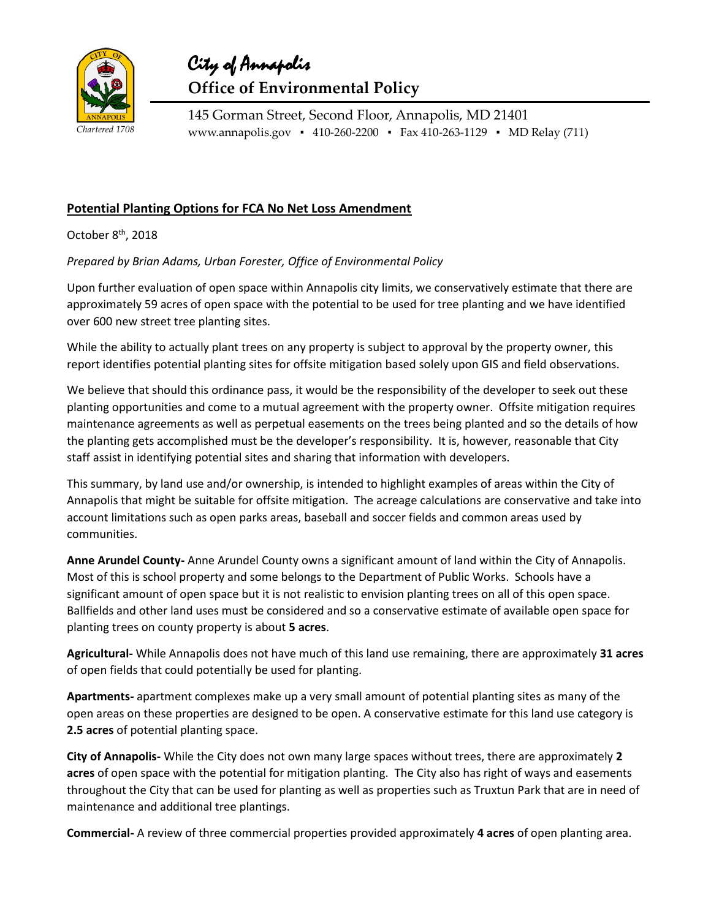

City of Annapolis **Office of Environmental Policy**

145 Gorman Street, Second Floor, Annapolis, MD 21401 www.annapolis.gov ▪ 410-260-2200 ▪ Fax 410-263-1129 ▪ MD Relay (711)

## **Potential Planting Options for FCA No Net Loss Amendment**

October 8<sup>th</sup>, 2018

*Prepared by Brian Adams, Urban Forester, Office of Environmental Policy*

Upon further evaluation of open space within Annapolis city limits, we conservatively estimate that there are approximately 59 acres of open space with the potential to be used for tree planting and we have identified over 600 new street tree planting sites.

While the ability to actually plant trees on any property is subject to approval by the property owner, this report identifies potential planting sites for offsite mitigation based solely upon GIS and field observations.

We believe that should this ordinance pass, it would be the responsibility of the developer to seek out these planting opportunities and come to a mutual agreement with the property owner. Offsite mitigation requires maintenance agreements as well as perpetual easements on the trees being planted and so the details of how the planting gets accomplished must be the developer's responsibility. It is, however, reasonable that City staff assist in identifying potential sites and sharing that information with developers.

This summary, by land use and/or ownership, is intended to highlight examples of areas within the City of Annapolis that might be suitable for offsite mitigation. The acreage calculations are conservative and take into account limitations such as open parks areas, baseball and soccer fields and common areas used by communities.

**Anne Arundel County-** Anne Arundel County owns a significant amount of land within the City of Annapolis. Most of this is school property and some belongs to the Department of Public Works. Schools have a significant amount of open space but it is not realistic to envision planting trees on all of this open space. Ballfields and other land uses must be considered and so a conservative estimate of available open space for planting trees on county property is about **5 acres**.

**Agricultural-** While Annapolis does not have much of this land use remaining, there are approximately **31 acres** of open fields that could potentially be used for planting.

**Apartments-** apartment complexes make up a very small amount of potential planting sites as many of the open areas on these properties are designed to be open. A conservative estimate for this land use category is **2.5 acres** of potential planting space.

**City of Annapolis-** While the City does not own many large spaces without trees, there are approximately **2 acres** of open space with the potential for mitigation planting. The City also has right of ways and easements throughout the City that can be used for planting as well as properties such as Truxtun Park that are in need of maintenance and additional tree plantings.

**Commercial-** A review of three commercial properties provided approximately **4 acres** of open planting area.